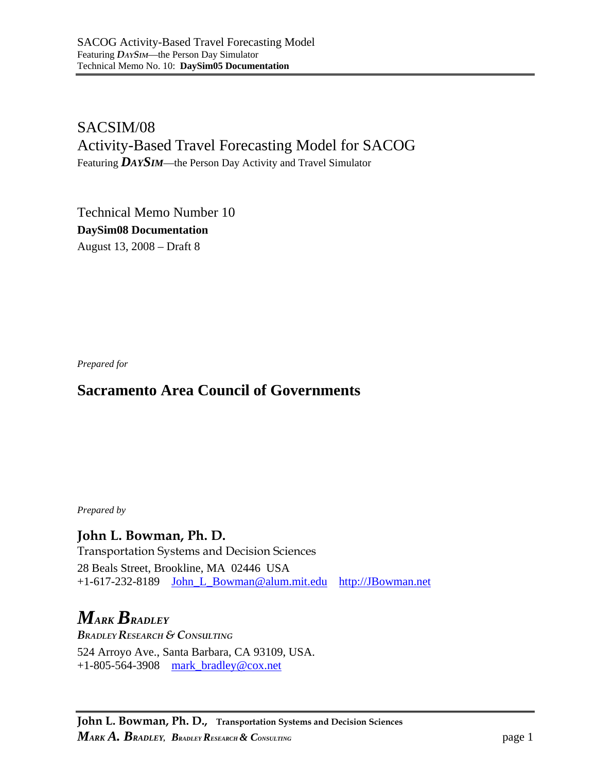SACSIM/08 Activity-Based Travel Forecasting Model for SACOG Featuring *DAYSIM*—the Person Day Activity and Travel Simulator

Technical Memo Number 10 **DaySim08 Documentation**  August 13, 2008 – Draft 8

*Prepared for* 

# **Sacramento Area Council of Governments**

*Prepared by* 

**John L. Bowman, Ph. D.**  Transportation Systems and Decision Sciences 28 Beals Street, Brookline, MA 02446 USA +1-617-232-8189 John\_L\_Bowman@alum.mit.edu http://JBowman.net

*MARK BRADLEY BRADLEY RESEARCH & CONSULTING*  524 Arroyo Ave., Santa Barbara, CA 93109, USA. +1-805-564-3908 mark\_bradley@cox.net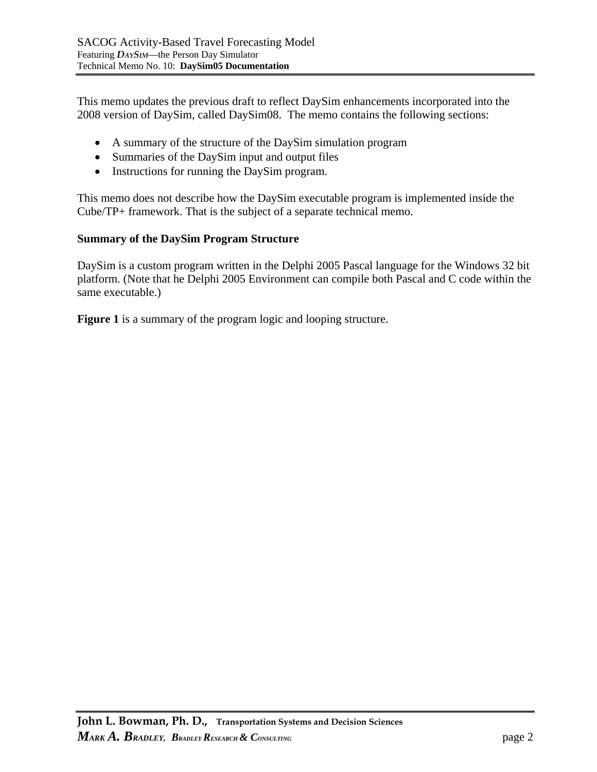This memo updates the previous draft to reflect DaySim enhancements incorporated into the 2008 version of DaySim, called DaySim08. The memo contains the following sections:

- A summary of the structure of the DaySim simulation program
- Summaries of the DaySim input and output files
- Instructions for running the DaySim program.

This memo does not describe how the DaySim executable program is implemented inside the Cube/TP+ framework. That is the subject of a separate technical memo.

#### **Summary of the DaySim Program Structure**

DaySim is a custom program written in the Delphi 2005 Pascal language for the Windows 32 bit platform. (Note that he Delphi 2005 Environment can compile both Pascal and C code within the same executable.)

**Figure 1** is a summary of the program logic and looping structure.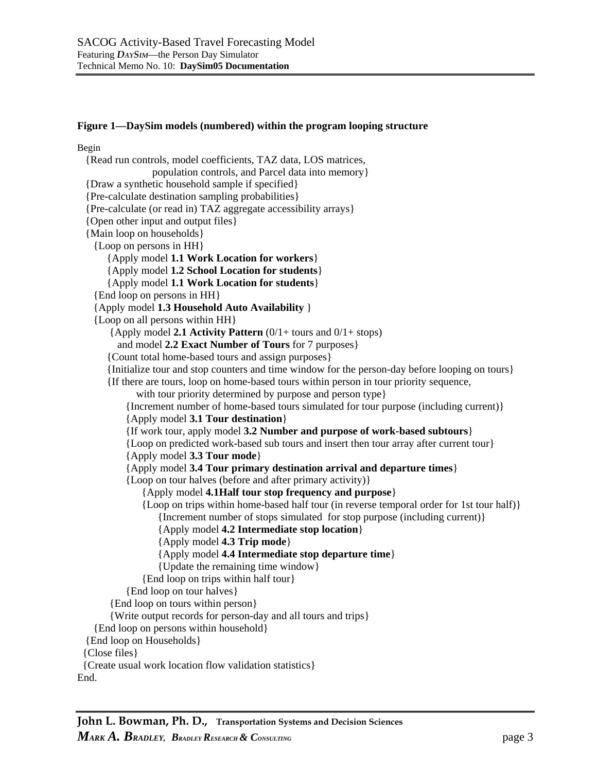#### **Figure 1—DaySim models (numbered) within the program looping structure**

Begin {Read run controls, model coefficients, TAZ data, LOS matrices, population controls, and Parcel data into memory} {Draw a synthetic household sample if specified} {Pre-calculate destination sampling probabilities} {Pre-calculate (or read in) TAZ aggregate accessibility arrays} {Open other input and output files} {Main loop on households} {Loop on persons in HH} {Apply model **1.1 Work Location for workers**} {Apply model **1.2 School Location for students**} {Apply model **1.1 Work Location for students**} {End loop on persons in HH} {Apply model **1.3 Household Auto Availability** } {Loop on all persons within HH} {Apply model **2.1 Activity Pattern** (0/1+ tours and 0/1+ stops) and model **2.2 Exact Number of Tours** for 7 purposes} {Count total home-based tours and assign purposes} {Initialize tour and stop counters and time window for the person-day before looping on tours} {If there are tours, loop on home-based tours within person in tour priority sequence, with tour priority determined by purpose and person type } {Increment number of home-based tours simulated for tour purpose (including current)} {Apply model **3.1 Tour destination**} {If work tour, apply model **3.2 Number and purpose of work-based subtours**} {Loop on predicted work-based sub tours and insert then tour array after current tour} {Apply model **3.3 Tour mode**} {Apply model **3.4 Tour primary destination arrival and departure times**} {Loop on tour halves (before and after primary activity)} {Apply model **4.1Half tour stop frequency and purpose**} {Loop on trips within home-based half tour (in reverse temporal order for 1st tour half)} {Increment number of stops simulated for stop purpose (including current)} {Apply model **4.2 Intermediate stop location**} {Apply model **4.3 Trip mode**} {Apply model **4.4 Intermediate stop departure time**} {Update the remaining time window} {End loop on trips within half tour} {End loop on tour halves} {End loop on tours within person} {Write output records for person-day and all tours and trips} {End loop on persons within household} {End loop on Households} {Close files} {Create usual work location flow validation statistics}

End.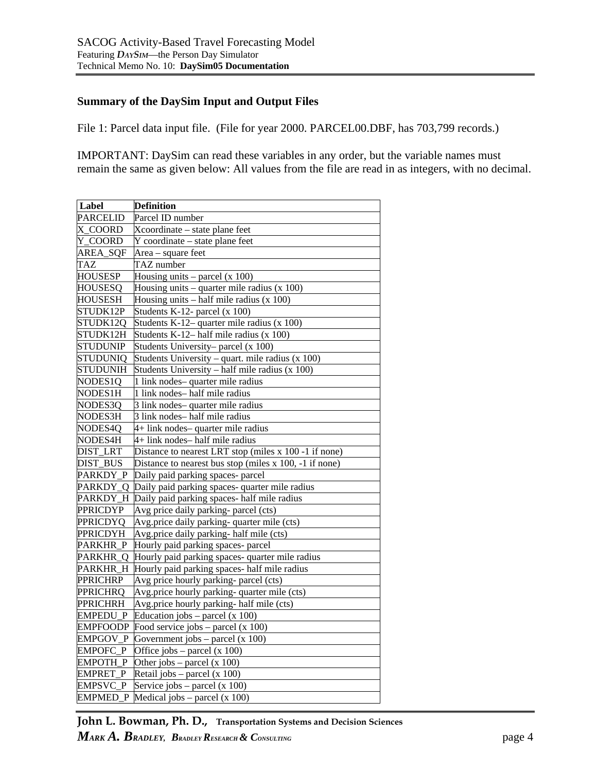#### **Summary of the DaySim Input and Output Files**

File 1: Parcel data input file. (File for year 2000. PARCEL00.DBF, has 703,799 records.)

IMPORTANT: DaySim can read these variables in any order, but the variable names must remain the same as given below: All values from the file are read in as integers, with no decimal.

| Label           | <b>Definition</b>                                      |
|-----------------|--------------------------------------------------------|
| <b>PARCELID</b> | Parcel ID number                                       |
| X COORD         | Xcoordinate – state plane feet                         |
| Y_COORD         | Y coordinate – state plane feet                        |
| AREA_SQF        | Area - square feet                                     |
| <b>TAZ</b>      | TAZ number                                             |
| <b>HOUSESP</b>  | Housing units $-$ parcel (x 100)                       |
| <b>HOUSESQ</b>  | Housing units – quarter mile radius $(x 100)$          |
| <b>HOUSESH</b>  | Housing units - half mile radius (x 100)               |
| STUDK12P        | Students K-12- parcel (x 100)                          |
| STUDK12Q        | Students K-12- quarter mile radius (x 100)             |
| STUDK12H        | Students K-12– half mile radius $(x 100)$              |
| <b>STUDUNIP</b> | Students University-parcel (x 100)                     |
| <b>STUDUNIQ</b> | Students University – quart. mile radius $(x 100)$     |
| <b>STUDUNIH</b> | Students University - half mile radius (x 100)         |
| NODES1Q         | 1 link nodes-quarter mile radius                       |
| NODES1H         | 1 link nodes-half mile radius                          |
| NODES3Q         | 3 link nodes-quarter mile radius                       |
| NODES3H         | 3 link nodes-half mile radius                          |
| NODES4Q         | 4+ link nodes-quarter mile radius                      |
| NODES4H         | 4+ link nodes-half mile radius                         |
| <b>DIST_LRT</b> | Distance to nearest LRT stop (miles x 100 -1 if none)  |
| DIST_BUS        | Distance to nearest bus stop (miles x 100, -1 if none) |
| PARKDY_P        | Daily paid parking spaces- parcel                      |
| PARKDY_Q        | Daily paid parking spaces- quarter mile radius         |
| PARKDY_H        | Daily paid parking spaces- half mile radius            |
| PPRICDYP        | Avg price daily parking-parcel (cts)                   |
| PPRICDYQ        | Avg.price daily parking-quarter mile (cts)             |
| <b>PPRICDYH</b> | Avg.price daily parking- half mile (cts)               |
| PARKHR_P        | Hourly paid parking spaces- parcel                     |
| PARKHR_Q        | Hourly paid parking spaces- quarter mile radius        |
| PARKHR_H        | Hourly paid parking spaces- half mile radius           |
| PPRICHRP        | Avg price hourly parking-parcel (cts)                  |
| PPRICHRQ        | Avg.price hourly parking-quarter mile (cts)            |
| <b>PPRICHRH</b> | Avg.price hourly parking- half mile (cts)              |
| EMPEDU_P        | Education jobs $-$ parcel (x 100)                      |
|                 | EMPFOODP Food service jobs $-$ parcel (x 100)          |
| EMPGOV_P        | Government jobs $-$ parcel (x 100)                     |
| <b>EMPOFC P</b> | Office jobs – parcel $(x 100)$                         |
| EMPOTH_P        | Other jobs – parcel $(x 100)$                          |
| EMPRET_P        | Retail jobs – parcel $(x 100)$                         |
| EMPSVC_P        | Service jobs $-$ parcel (x 100)                        |
|                 | $EMPMED_P$ Medical jobs – parcel (x 100)               |

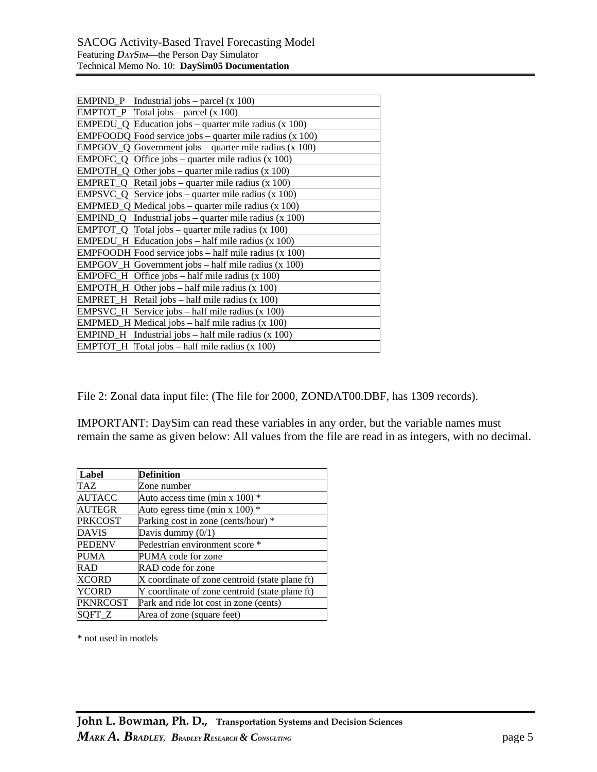| EMPIND_P $[Industrial jobs - parcel(x 100)$                               |
|---------------------------------------------------------------------------|
| EMPTOT_P $\int$ Total jobs – parcel (x 100)                               |
| $EMPEDU_Q$ Education jobs – quarter mile radius (x 100)                   |
| <b>EMPFOODQ</b> Food service jobs – quarter mile radius $(x 100)$         |
| $EMPGOV_Q$ Government jobs – quarter mile radius (x 100)                  |
| $EMPOFC_Q$ Office jobs – quarter mile radius (x 100)                      |
| $EMPOTH_Q$ Other jobs – quarter mile radius (x 100)                       |
| $EMPRET_Q$ Retail jobs – quarter mile radius (x 100)                      |
| $EMPSVC_Q$ Service jobs – quarter mile radius (x 100)                     |
| $EMPMED_Q$ Medical jobs – quarter mile radius (x 100)                     |
| $EMPIND_Q$ Industrial jobs – quarter mile radius (x 100)                  |
| <b>EMPTOT_Q</b> $\left  \right $ Total jobs – quarter mile radius (x 100) |
| $EMPEDU_H$ Education jobs – half mile radius (x 100)                      |
| EMPFOODH Food service jobs – half mile radius (x 100)                     |
| EMPGOV_H Government jobs - half mile radius (x 100)                       |
| $EMPOFC_H$ Office jobs – half mile radius (x 100)                         |
| $EMPOTH_H$ Other jobs – half mile radius (x 100)                          |
| EMPRET_H Retail jobs – half mile radius (x 100)                           |
| EMPSVC_H Service jobs - half mile radius (x 100)                          |
| EMPMED_H Medical jobs - half mile radius (x 100)                          |
| $EMPIND_H$ Industrial jobs – half mile radius (x 100)                     |
| $EMPTOT_H$ Total jobs – half mile radius (x 100)                          |

File 2: Zonal data input file: (The file for 2000, ZONDAT00.DBF, has 1309 records).

IMPORTANT: DaySim can read these variables in any order, but the variable names must remain the same as given below: All values from the file are read in as integers, with no decimal.

| Label           | Definition                                     |
|-----------------|------------------------------------------------|
| TAZ             | Zone number                                    |
| AUTACC          | Auto access time (min x $100$ ) *              |
| AUTEGR          | Auto egress time (min x 100) $*$               |
| <b>PRKCOST</b>  | Parking cost in zone (cents/hour) *            |
| <b>DAVIS</b>    | Davis dummy $(0/1)$                            |
| <b>PEDENV</b>   | Pedestrian environment score *                 |
| PUMA            | PUMA code for zone                             |
| RAD             | RAD code for zone                              |
| XCORD           | X coordinate of zone centroid (state plane ft) |
| YCORD           | Y coordinate of zone centroid (state plane ft) |
| <b>PKNRCOST</b> | Park and ride lot cost in zone (cents)         |
| SOFT Z          | Area of zone (square feet)                     |

\* not used in models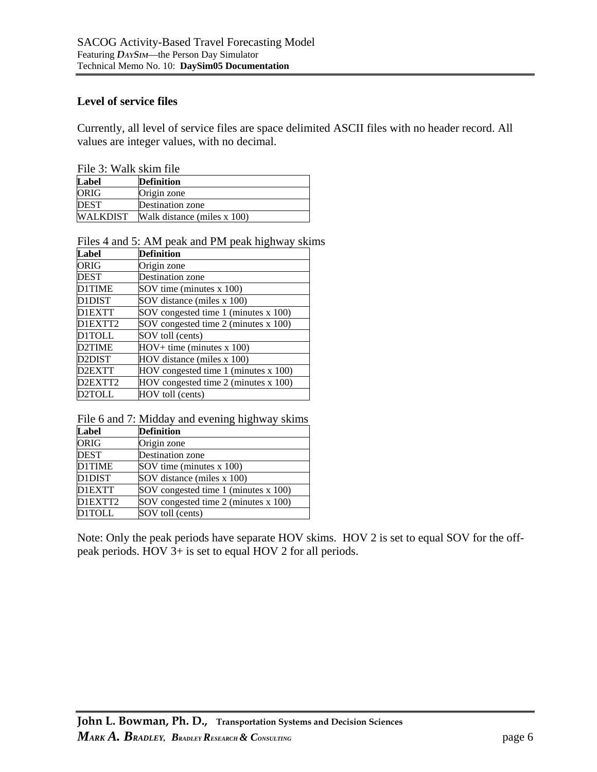#### **Level of service files**

Currently, all level of service files are space delimited ASCII files with no header record. All values are integer values, with no decimal.

| File 3: Walk skim file |  |
|------------------------|--|
|------------------------|--|

| $1100$ $110$ $1100$ |                             |  |
|---------------------|-----------------------------|--|
| Label               | <b>Definition</b>           |  |
| ORIG                | Origin zone                 |  |
| <b>DEST</b>         | Destination zone            |  |
| WALKDIST            | Walk distance (miles x 100) |  |

Files 4 and 5: AM peak and PM peak highway skims

| Label         | <b>Definition</b>                      |
|---------------|----------------------------------------|
| ORIG          | Origin zone                            |
| DEST          | <b>Destination zone</b>                |
| <b>D1TIME</b> | SOV time (minutes x 100)               |
| D1DIST        | SOV distance (miles x 100)             |
| D1EXTT        | SOV congested time 1 (minutes x 100)   |
| D1EXTT2       | SOV congested time 2 (minutes x 100)   |
| <b>D1TOLL</b> | SOV toll (cents)                       |
| D2TIME        | $HOV + time$ (minutes x 100)           |
| D2DIST        | HOV distance (miles x 100)             |
| D2EXTT        | $HOV$ congested time 1 (minutes x 100) |
| D2EXTT2       | $HOV$ congested time 2 (minutes x 100) |
| D2TOLL        | HOV toll (cents)                       |

File 6 and 7: Midday and evening highway skims

| Label         | <b>Definition</b>                    |
|---------------|--------------------------------------|
| <b>ORIG</b>   | Origin zone                          |
| <b>DEST</b>   | Destination zone                     |
| <b>D1TIME</b> | SOV time (minutes x 100)             |
| D1DIST        | SOV distance (miles x 100)           |
| <b>D1EXTT</b> | SOV congested time 1 (minutes x 100) |
| D1EXTT2       | SOV congested time 2 (minutes x 100) |
| <b>D1TOLL</b> | SOV toll (cents)                     |

Note: Only the peak periods have separate HOV skims. HOV 2 is set to equal SOV for the offpeak periods. HOV 3+ is set to equal HOV 2 for all periods.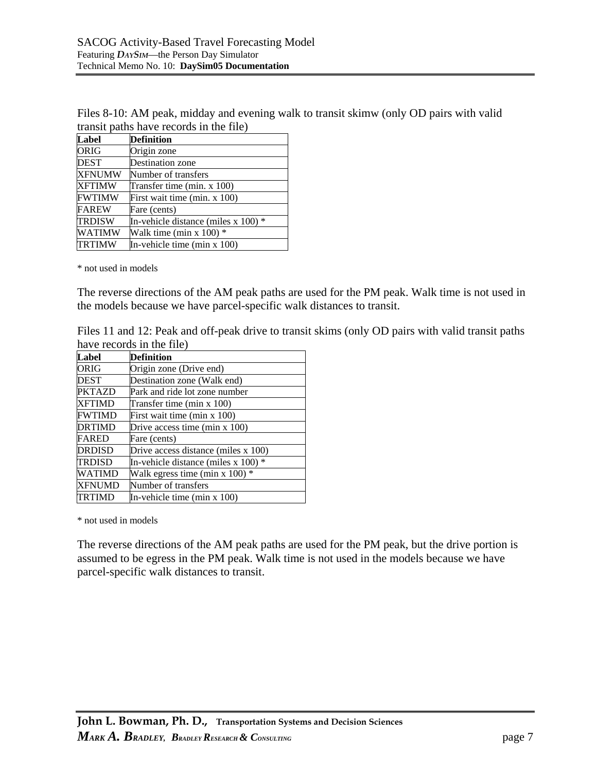| Files 8-10: AM peak, midday and evening walk to transit skimw (only OD pairs with valid |
|-----------------------------------------------------------------------------------------|
| transit paths have records in the file)                                                 |

| Label         | <b>Definition</b>                        |
|---------------|------------------------------------------|
| <b>ORIG</b>   | Origin zone                              |
| DEST          | Destination zone                         |
| <b>XFNUMW</b> | Number of transfers                      |
| <b>XFTIMW</b> | Transfer time (min. x 100)               |
| <b>FWTIMW</b> | First wait time (min. $x$ 100)           |
| <b>FAREW</b>  | Fare (cents)                             |
| <b>TRDISW</b> | In-vehicle distance (miles $x 100$ ) $*$ |
| WATIMW        | Walk time (min x $100$ ) $*$             |
| <b>TRTIMW</b> | In-vehicle time (min $x$ 100)            |

\* not used in models

The reverse directions of the AM peak paths are used for the PM peak. Walk time is not used in the models because we have parcel-specific walk distances to transit.

Files 11 and 12: Peak and off-peak drive to transit skims (only OD pairs with valid transit paths have records in the file)

| Label         | Definition                               |
|---------------|------------------------------------------|
|               |                                          |
| ORIG          | Origin zone (Drive end)                  |
| <b>DEST</b>   | Destination zone (Walk end)              |
| <b>PKTAZD</b> | Park and ride lot zone number            |
| XFTIMD        | Transfer time (min x 100)                |
| <b>FWTIMD</b> | First wait time (min x 100)              |
| DRTIMD        | Drive access time (min $x$ 100)          |
| FARED         | Fare (cents)                             |
| DRDISD        | Drive access distance (miles x 100)      |
| <b>TRDISD</b> | In-vehicle distance (miles $x 100$ ) $*$ |
| <b>WATIMD</b> | Walk egress time (min x $100$ ) *        |
| XFNUMD        | Number of transfers                      |
| TRTIMD        | In-vehicle time (min $x$ 100)            |

\* not used in models

The reverse directions of the AM peak paths are used for the PM peak, but the drive portion is assumed to be egress in the PM peak. Walk time is not used in the models because we have parcel-specific walk distances to transit.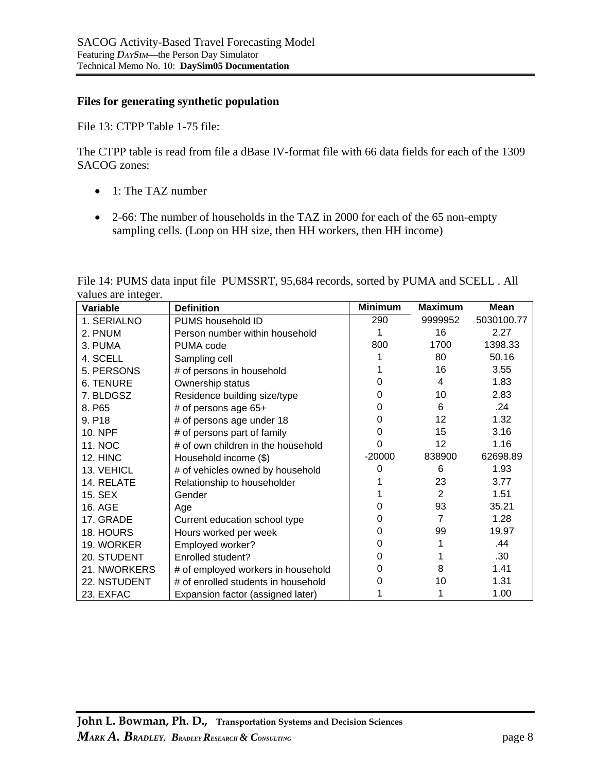#### **Files for generating synthetic population**

File 13: CTPP Table 1-75 file:

The CTPP table is read from file a dBase IV-format file with 66 data fields for each of the 1309 SACOG zones:

- 1: The TAZ number
- 2-66: The number of households in the TAZ in 2000 for each of the 65 non-empty sampling cells. (Loop on HH size, then HH workers, then HH income)

| File 14: PUMS data input file PUMSSRT, 95,684 records, sorted by PUMA and SCELL. All |  |  |  |
|--------------------------------------------------------------------------------------|--|--|--|
| values are integer.                                                                  |  |  |  |

| Variable         | <b>Definition</b>                   | <b>Minimum</b> | <b>Maximum</b> | Mean       |
|------------------|-------------------------------------|----------------|----------------|------------|
| 1. SERIALNO      | PUMS household ID                   | 290            | 9999952        | 5030100.77 |
| 2. PNUM          | Person number within household      | 1              | 16             | 2.27       |
| 3. PUMA          | PUMA code                           | 800            | 1700           | 1398.33    |
| 4. SCELL         | Sampling cell                       |                | 80             | 50.16      |
| 5. PERSONS       | # of persons in household           |                | 16             | 3.55       |
| <b>6. TENURE</b> | Ownership status                    |                | 4              | 1.83       |
| 7. BLDGSZ        | Residence building size/type        |                | 10             | 2.83       |
| 8. P65           | # of persons age 65+                | Ω              | 6              | .24        |
| 9. P18           | # of persons age under 18           |                | 12             | 1.32       |
| <b>10. NPF</b>   | # of persons part of family         | O              | 15             | 3.16       |
| <b>11. NOC</b>   | # of own children in the household  |                | 12             | 1.16       |
| 12. HINC         | Household income (\$)               | $-20000$       | 838900         | 62698.89   |
| 13. VEHICL       | # of vehicles owned by household    | O              | 6              | 1.93       |
| 14. RELATE       | Relationship to householder         |                | 23             | 3.77       |
| 15. SEX          | Gender                              |                | $\overline{2}$ | 1.51       |
| 16. AGE          | Age                                 |                | 93             | 35.21      |
| 17. GRADE        | Current education school type       |                | $\overline{7}$ | 1.28       |
| 18. HOURS        | Hours worked per week               |                | 99             | 19.97      |
| 19. WORKER       | Employed worker?                    |                |                | .44        |
| 20. STUDENT      | Enrolled student?                   |                |                | .30        |
| 21. NWORKERS     | # of employed workers in household  |                | 8              | 1.41       |
| 22. NSTUDENT     | # of enrolled students in household |                | 10             | 1.31       |
| 23. EXFAC        | Expansion factor (assigned later)   |                |                | 1.00       |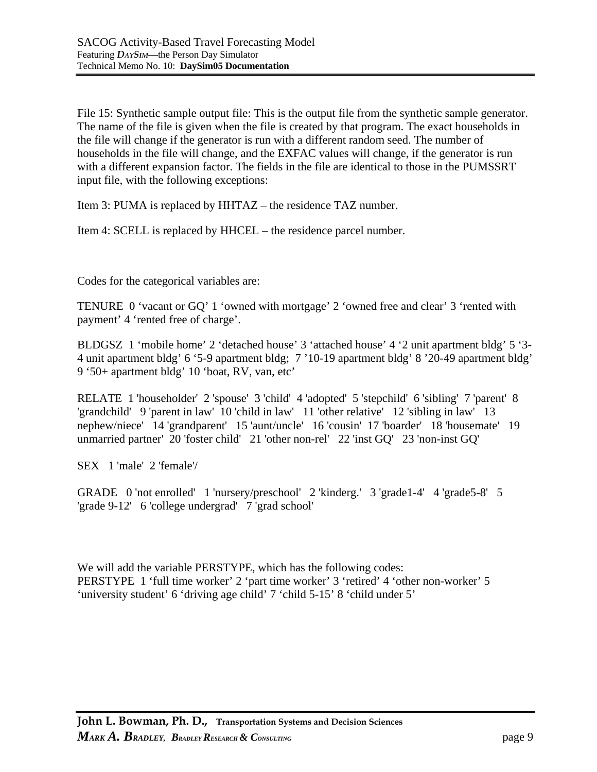File 15: Synthetic sample output file: This is the output file from the synthetic sample generator. The name of the file is given when the file is created by that program. The exact households in the file will change if the generator is run with a different random seed. The number of households in the file will change, and the EXFAC values will change, if the generator is run with a different expansion factor. The fields in the file are identical to those in the PUMSSRT input file, with the following exceptions:

Item 3: PUMA is replaced by HHTAZ – the residence TAZ number.

Item 4: SCELL is replaced by HHCEL – the residence parcel number.

Codes for the categorical variables are:

TENURE 0 'vacant or GQ' 1 'owned with mortgage' 2 'owned free and clear' 3 'rented with payment' 4 'rented free of charge'.

BLDGSZ 1 'mobile home' 2 'detached house' 3 'attached house' 4 '2 unit apartment bldg' 5 '3- 4 unit apartment bldg' 6 '5-9 apartment bldg; 7 '10-19 apartment bldg' 8 '20-49 apartment bldg' 9 '50+ apartment bldg' 10 'boat, RV, van, etc'

RELATE 1 'householder' 2 'spouse' 3 'child' 4 'adopted' 5 'stepchild' 6 'sibling' 7 'parent' 8 'grandchild' 9 'parent in law' 10 'child in law' 11 'other relative' 12 'sibling in law' 13 nephew/niece' 14 'grandparent' 15 'aunt/uncle' 16 'cousin' 17 'boarder' 18 'housemate' 19 unmarried partner' 20 'foster child' 21 'other non-rel' 22 'inst GQ' 23 'non-inst GQ'

SEX 1 'male' 2 'female'/

GRADE 0 'not enrolled' 1 'nursery/preschool' 2 'kinderg.' 3 'grade1-4' 4 'grade5-8' 5 'grade 9-12' 6 'college undergrad' 7 'grad school'

We will add the variable PERSTYPE, which has the following codes: PERSTYPE 1 'full time worker' 2 'part time worker' 3 'retired' 4 'other non-worker' 5 'university student' 6 'driving age child' 7 'child 5-15' 8 'child under 5'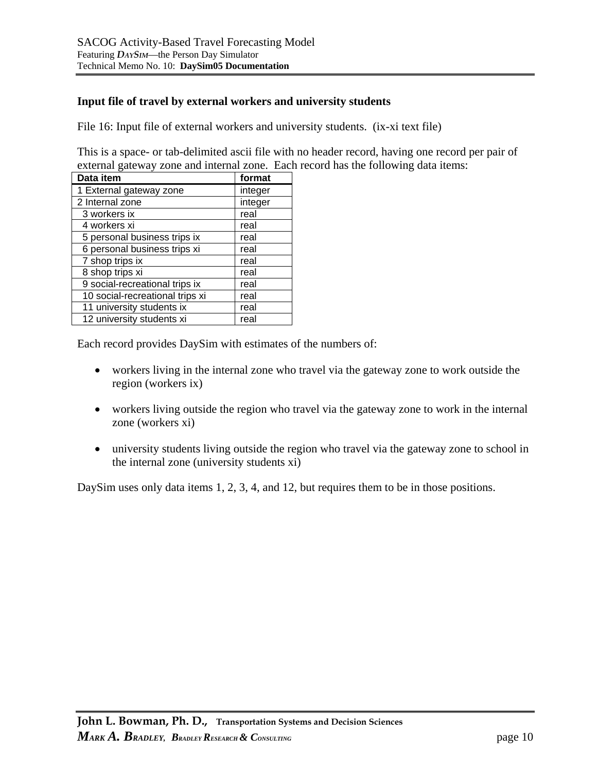#### **Input file of travel by external workers and university students**

File 16: Input file of external workers and university students. (ix-xi text file)

This is a space- or tab-delimited ascii file with no header record, having one record per pair of external gateway zone and internal zone. Each record has the following data items:

| Data item                       | format  |
|---------------------------------|---------|
| 1 External gateway zone         | integer |
| 2 Internal zone                 | integer |
| 3 workers ix                    | real    |
| 4 workers xi                    | real    |
| 5 personal business trips ix    | real    |
| 6 personal business trips xi    | real    |
| 7 shop trips ix                 | real    |
| 8 shop trips xi                 | real    |
| 9 social-recreational trips ix  | real    |
| 10 social-recreational trips xi | real    |
| 11 university students ix       | real    |
| 12 university students xi       | real    |

Each record provides DaySim with estimates of the numbers of:

- workers living in the internal zone who travel via the gateway zone to work outside the region (workers ix)
- workers living outside the region who travel via the gateway zone to work in the internal zone (workers xi)
- university students living outside the region who travel via the gateway zone to school in the internal zone (university students xi)

DaySim uses only data items 1, 2, 3, 4, and 12, but requires them to be in those positions.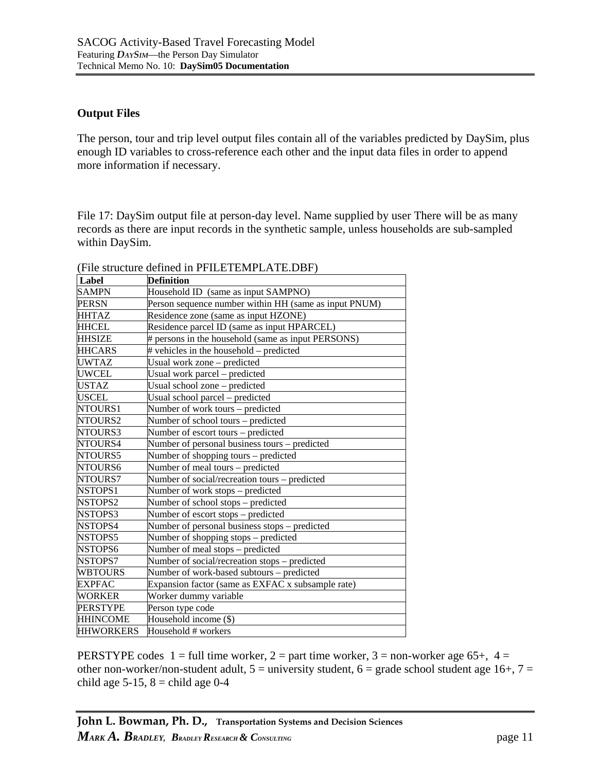### **Output Files**

The person, tour and trip level output files contain all of the variables predicted by DaySim, plus enough ID variables to cross-reference each other and the input data files in order to append more information if necessary.

File 17: DaySim output file at person-day level. Name supplied by user There will be as many records as there are input records in the synthetic sample, unless households are sub-sampled within DaySim.

| Label            | <b>Definition</b>                                     |  |
|------------------|-------------------------------------------------------|--|
| SAMPN            | Household ID (same as input SAMPNO)                   |  |
| <b>PERSN</b>     | Person sequence number within HH (same as input PNUM) |  |
| <b>HHTAZ</b>     | Residence zone (same as input HZONE)                  |  |
| <b>HHCEL</b>     | Residence parcel ID (same as input HPARCEL)           |  |
| <b>HHSIZE</b>    | # persons in the household (same as input PERSONS)    |  |
| <b>HHCARS</b>    | # vehicles in the household – predicted               |  |
| <b>UWTAZ</b>     | Usual work zone - predicted                           |  |
| <b>UWCEL</b>     | Usual work parcel – predicted                         |  |
| <b>USTAZ</b>     | Usual school zone - predicted                         |  |
| USCEL            | Usual school parcel - predicted                       |  |
| NTOURS1          | Number of work tours – predicted                      |  |
| NTOURS2          | Number of school tours – predicted                    |  |
| NTOURS3          | Number of escort tours – predicted                    |  |
| NTOURS4          | Number of personal business tours – predicted         |  |
| NTOURS5          | Number of shopping tours – predicted                  |  |
| NTOURS6          | Number of meal tours - predicted                      |  |
| NTOURS7          | Number of social/recreation tours – predicted         |  |
| NSTOPS1          | Number of work stops - predicted                      |  |
| NSTOPS2          | Number of school stops – predicted                    |  |
| NSTOPS3          | Number of escort stops - predicted                    |  |
| NSTOPS4          | Number of personal business stops - predicted         |  |
| NSTOPS5          | Number of shopping stops - predicted                  |  |
| NSTOPS6          | Number of meal stops - predicted                      |  |
| NSTOPS7          | Number of social/recreation stops – predicted         |  |
| <b>WBTOURS</b>   | Number of work-based subtours - predicted             |  |
| <b>EXPFAC</b>    | Expansion factor (same as EXFAC x subsample rate)     |  |
| <b>WORKER</b>    | Worker dummy variable                                 |  |
| <b>PERSTYPE</b>  | Person type code                                      |  |
| <b>HHINCOME</b>  | Household income (\$)                                 |  |
| <b>HHWORKERS</b> | Household # workers                                   |  |

(File structure defined in PFILETEMPLATE.DBF)

PERSTYPE codes  $1 = \text{full time worker}$ ,  $2 = \text{part time worker}$ ,  $3 = \text{non-workers}$  age 65+,  $4 =$ other non-worker/non-student adult,  $5 =$  university student,  $6 =$  grade school student age 16+,  $7 =$ child age  $5-15$ ,  $8 =$ child age  $0-4$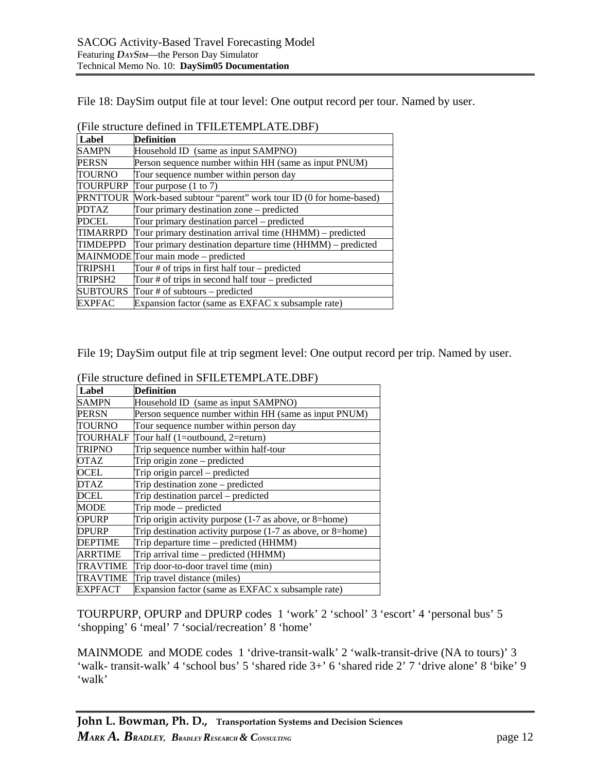File 18: DaySim output file at tour level: One output record per tour. Named by user.

| Label           | <b>Definition</b>                                            |  |
|-----------------|--------------------------------------------------------------|--|
| <b>SAMPN</b>    | Household ID (same as input SAMPNO)                          |  |
| PERSN           | Person sequence number within HH (same as input PNUM)        |  |
| TOURNO          | Tour sequence number within person day                       |  |
| TOURPURP        | Tour purpose $(1 \text{ to } 7)$                             |  |
| <b>PRNTTOUR</b> | Work-based subtour "parent" work tour ID (0 for home-based)  |  |
| <b>PDTAZ</b>    | Tour primary destination zone – predicted                    |  |
| PDCEL           | Tour primary destination parcel – predicted                  |  |
| TIMARRPD        | Tour primary destination arrival time (HHMM) – predicted     |  |
| TIMDEPPD        | Tour primary destination departure time $(HHMM)$ – predicted |  |
|                 | MAINMODE Tour main mode - predicted                          |  |
| TRIPSH1         | Tour $#$ of trips in first half tour – predicted             |  |
| TRIPSH2         | Tour $#$ of trips in second half tour – predicted            |  |
| SUBTOURS        | Tour # of subtours $-$ predicted                             |  |
| <b>EXPFAC</b>   | Expansion factor (same as EXFAC x subsample rate)            |  |

(File structure defined in TFILETEMPLATE.DBF)

File 19; DaySim output file at trip segment level: One output record per trip. Named by user.

| Label          | <b>Definition</b>                                           |  |
|----------------|-------------------------------------------------------------|--|
| <b>SAMPN</b>   | Household ID (same as input SAMPNO)                         |  |
| <b>PERSN</b>   | Person sequence number within HH (same as input PNUM)       |  |
| TOURNO         | Tour sequence number within person day                      |  |
| TOURHALF       | Tour half (1=outbound, 2=return)                            |  |
| <b>TRIPNO</b>  | Trip sequence number within half-tour                       |  |
| <b>OTAZ</b>    | Trip origin zone – predicted                                |  |
| OCEL           | Trip origin parcel – predicted                              |  |
| <b>DTAZ</b>    | Trip destination zone – predicted                           |  |
| <b>DCEL</b>    | Trip destination parcel - predicted                         |  |
| <b>MODE</b>    | Trip mode – predicted                                       |  |
| <b>OPURP</b>   | Trip origin activity purpose $(1-7)$ as above, or 8=home)   |  |
| <b>DPURP</b>   | Trip destination activity purpose (1-7 as above, or 8=home) |  |
| <b>DEPTIME</b> | Trip departure time – predicted (HHMM)                      |  |
| ARRTIME        | Trip arrival time – predicted (HHMM)                        |  |
| TRAVTIME       | Trip door-to-door travel time (min)                         |  |
| TRAVTIME       | Trip travel distance (miles)                                |  |
| <b>EXPFACT</b> | Expansion factor (same as EXFAC x subsample rate)           |  |

(File structure defined in SFILETEMPLATE.DBF)

TOURPURP, OPURP and DPURP codes 1 'work' 2 'school' 3 'escort' 4 'personal bus' 5 'shopping' 6 'meal' 7 'social/recreation' 8 'home'

MAINMODE and MODE codes 1 'drive-transit-walk' 2 'walk-transit-drive (NA to tours)' 3 'walk- transit-walk' 4 'school bus' 5 'shared ride 3+' 6 'shared ride 2' 7 'drive alone' 8 'bike' 9 'walk'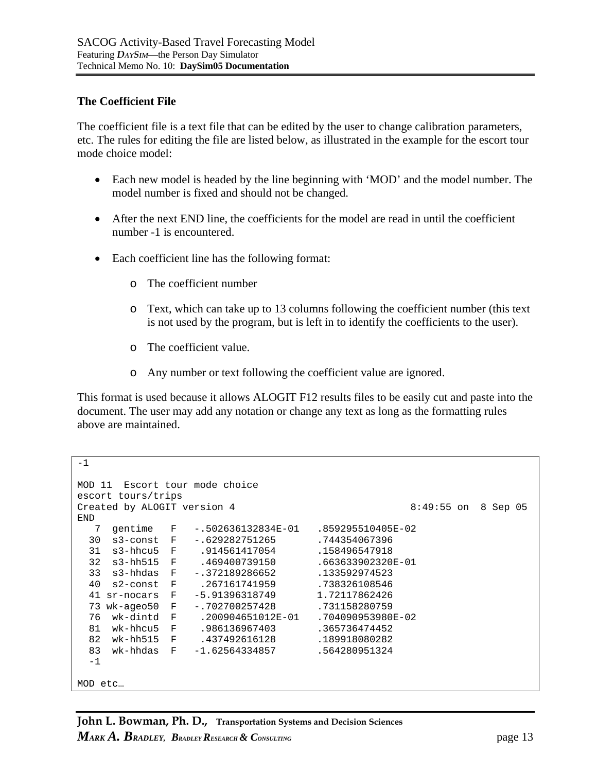### **The Coefficient File**

The coefficient file is a text file that can be edited by the user to change calibration parameters, etc. The rules for editing the file are listed below, as illustrated in the example for the escort tour mode choice model:

- Each new model is headed by the line beginning with 'MOD' and the model number. The model number is fixed and should not be changed.
- After the next END line, the coefficients for the model are read in until the coefficient number -1 is encountered.
- Each coefficient line has the following format:
	- o The coefficient number
	- o Text, which can take up to 13 columns following the coefficient number (this text is not used by the program, but is left in to identify the coefficients to the user).
	- o The coefficient value.
	- o Any number or text following the coefficient value are ignored.

This format is used because it allows ALOGIT F12 results files to be easily cut and paste into the document. The user may add any notation or change any text as long as the formatting rules above are maintained.

```
-1 
MOD 11 Escort tour mode choice 
escort tours/trips 
Created by ALOGIT version 4 8:49:55 on 8 Sep 05
END 
   7 gentime F -.502636132834E-01 .859295510405E-02 
 30 s3-const F -.629282751265 .744354067396 
 31 s3-hhcu5 F .914561417054 .158496547918 
 32 s3-hh515 F .469400739150 .663633902320E-01 
  33 s3-hhdas F -.372189286652 .133592974523 
  40 s2-const F .267161741959 .738326108546 
  41 sr-nocars F -5.91396318749 1.72117862426 
 73 wk-ageo50 F -.702700257428 .731158280759 
                 76 wk-dintd F .200904651012E-01 .704090953980E-02 
 81 wk-hhcu5 F .986136967403 .365736474452 
  82 wk-hh515 F .437492616128 .189918080282 
 83 wk-hhdas F -1.62564334857 .564280951324
 -1MOD etc…
```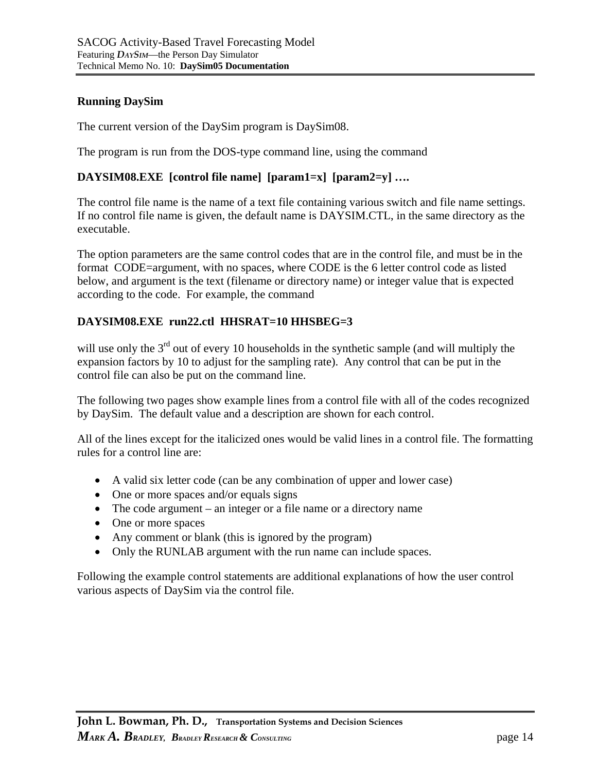#### **Running DaySim**

The current version of the DaySim program is DaySim08.

The program is run from the DOS-type command line, using the command

### **DAYSIM08.EXE [control file name] [param1=x] [param2=y] ….**

The control file name is the name of a text file containing various switch and file name settings. If no control file name is given, the default name is DAYSIM.CTL, in the same directory as the executable.

The option parameters are the same control codes that are in the control file, and must be in the format CODE=argument, with no spaces, where CODE is the 6 letter control code as listed below, and argument is the text (filename or directory name) or integer value that is expected according to the code. For example, the command

## **DAYSIM08.EXE run22.ctl HHSRAT=10 HHSBEG=3**

will use only the  $3<sup>rd</sup>$  out of every 10 households in the synthetic sample (and will multiply the expansion factors by 10 to adjust for the sampling rate). Any control that can be put in the control file can also be put on the command line.

The following two pages show example lines from a control file with all of the codes recognized by DaySim. The default value and a description are shown for each control.

All of the lines except for the italicized ones would be valid lines in a control file. The formatting rules for a control line are:

- A valid six letter code (can be any combination of upper and lower case)
- One or more spaces and/or equals signs
- The code argument an integer or a file name or a directory name
- One or more spaces
- Any comment or blank (this is ignored by the program)
- Only the RUNLAB argument with the run name can include spaces.

Following the example control statements are additional explanations of how the user control various aspects of DaySim via the control file.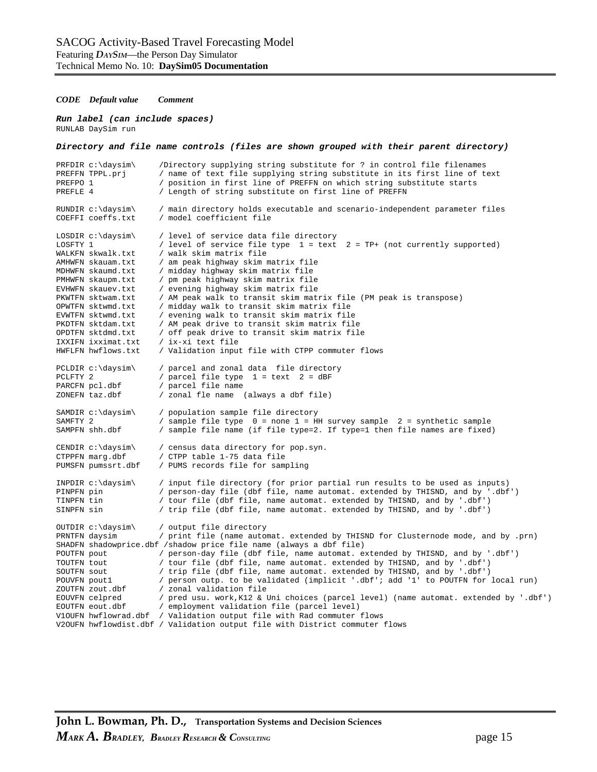#### *CODE Default value Comment*

#### *Run label (can include spaces)*  RUNLAB DaySim run

|                                                                                 | Directory and file name controls (files are shown grouped with their parent directory)                                                                                                                                                                                                                                                                                                                                    |
|---------------------------------------------------------------------------------|---------------------------------------------------------------------------------------------------------------------------------------------------------------------------------------------------------------------------------------------------------------------------------------------------------------------------------------------------------------------------------------------------------------------------|
| PRFDIR $c:\d{aysim}$                                                            | /Directory supplying string substitute for ? in control file filenames                                                                                                                                                                                                                                                                                                                                                    |
| PREFFN TPPL.prj                                                                 | / name of text file supplying string substitute in its first line of text                                                                                                                                                                                                                                                                                                                                                 |
| PREFPO 1                                                                        | / position in first line of PREFFN on which string substitute starts                                                                                                                                                                                                                                                                                                                                                      |
| PREFLE 4                                                                        | / Length of string substitute on first line of PREFFN                                                                                                                                                                                                                                                                                                                                                                     |
| RUNDIR $c:\d{aysim}$                                                            | / main directory holds executable and scenario-independent parameter files                                                                                                                                                                                                                                                                                                                                                |
| COEFFI coeffs.txt                                                               | / model coefficient file                                                                                                                                                                                                                                                                                                                                                                                                  |
| LOSDIR c:\daysim\                                                               | / level of service data file directory                                                                                                                                                                                                                                                                                                                                                                                    |
| LOSFTY 1                                                                        | / level of service file type 1 = text 2 = TP+ (not currently supported)                                                                                                                                                                                                                                                                                                                                                   |
| WALKFN skwalk.txt                                                               | / walk skim matrix file                                                                                                                                                                                                                                                                                                                                                                                                   |
| AMHWFN skauam.txt                                                               | / am peak highway skim matrix file                                                                                                                                                                                                                                                                                                                                                                                        |
| MDHWFN skaumd.txt                                                               | / midday highway skim matrix file                                                                                                                                                                                                                                                                                                                                                                                         |
| PMHWFN skaupm.txt                                                               | / pm peak highway skim matrix file                                                                                                                                                                                                                                                                                                                                                                                        |
| EVHWFN skauev.txt                                                               | / evening highway skim matrix file                                                                                                                                                                                                                                                                                                                                                                                        |
| PKWTFN sktwam.txt                                                               | / AM peak walk to transit skim matrix file (PM peak is transpose)                                                                                                                                                                                                                                                                                                                                                         |
| OPWTFN sktwmd.txt                                                               | / midday walk to transit skim matrix file                                                                                                                                                                                                                                                                                                                                                                                 |
| EVWTFN sktwmd.txt                                                               | / evening walk to transit skim matrix file                                                                                                                                                                                                                                                                                                                                                                                |
| PKDTFN sktdam.txt                                                               | / AM peak drive to transit skim matrix file                                                                                                                                                                                                                                                                                                                                                                               |
| OPDTFN sktdmd.txt                                                               | / off peak drive to transit skim matrix file                                                                                                                                                                                                                                                                                                                                                                              |
| IXXIFN ixximat.txt                                                              | / ix-xi text file                                                                                                                                                                                                                                                                                                                                                                                                         |
| HWFLFN hwflows.txt                                                              | / Validation input file with CTPP commuter flows                                                                                                                                                                                                                                                                                                                                                                          |
| $PCLDIR c:\daysim\$                                                             | / parcel and zonal data file directory                                                                                                                                                                                                                                                                                                                                                                                    |
| PCLFTY 2                                                                        | / parcel file type 1 = text 2 = dBF                                                                                                                                                                                                                                                                                                                                                                                       |
| PARCFN pcl.dbf                                                                  | / parcel file name                                                                                                                                                                                                                                                                                                                                                                                                        |
| ZONEFN taz.dbf                                                                  | / zonal fle name (always a dbf file)                                                                                                                                                                                                                                                                                                                                                                                      |
| SAMDIR c:\daysim\                                                               | / population sample file directory                                                                                                                                                                                                                                                                                                                                                                                        |
| SAMFTY 2                                                                        | / sample file type $0 =$ none 1 = HH survey sample 2 = synthetic sample                                                                                                                                                                                                                                                                                                                                                   |
| SAMPFN shh.dbf                                                                  | / sample file name (if file type=2. If type=1 then file names are fixed)                                                                                                                                                                                                                                                                                                                                                  |
| CENDIR c:\daysim\                                                               | / census data directory for pop.syn.                                                                                                                                                                                                                                                                                                                                                                                      |
| CTPPFN marg.dbf                                                                 | / CTPP table 1-75 data file                                                                                                                                                                                                                                                                                                                                                                                               |
| PUMSFN pumssrt.dbf                                                              | / PUMS records file for sampling                                                                                                                                                                                                                                                                                                                                                                                          |
| INPDIR $c:\dagger$ daysim\                                                      | / input file directory (for prior partial run results to be used as inputs)                                                                                                                                                                                                                                                                                                                                               |
| PINPFN pin                                                                      | / person-day file (dbf file, name automat. extended by THISND, and by '.dbf')                                                                                                                                                                                                                                                                                                                                             |
| TINPFN tin                                                                      | / tour file (dbf file, name automat. extended by THISND, and by '.dbf')                                                                                                                                                                                                                                                                                                                                                   |
| SINPFN sin                                                                      | / trip file (dbf file, name automat. extended by THISND, and by '.dbf')                                                                                                                                                                                                                                                                                                                                                   |
| OUTDIR c:\daysim\<br>PRNTFN daysim<br>POUTFN pout<br>TOUTFN tout<br>SOUTFN sout | / output file directory<br>/ print file (name automat. extended by THISND for Clusternode mode, and by .prn)<br>SHADFN shadowprice.dbf /shadow price file name (always a dbf file)<br>/ person-day file (dbf file, name automat. extended by THISND, and by '.dbf')<br>/ tour file (dbf file, name automat. extended by THISND, and by '.dbf')<br>/ trip file (dbf file, name automat. extended by THISND, and by '.dbf') |
| POUVFN pout1<br>ZOUTFN zout.dbf<br>EOUVFN celpred<br>EOUTFN eout.dbf            | / person outp. to be validated (implicit '.dbf'; add '1' to POUTFN for local run)<br>/ zonal validation file<br>/ pred usu. work, K12 & Uni choices (parcel level) (name automat. extended by '.dbf')<br>/ employment validation file (parcel level)<br>V10UFN hwflowrad.dbf / Validation output file with Rad commuter flows<br>V20UFN hwflowdist.dbf / Validation output file with District commuter flows              |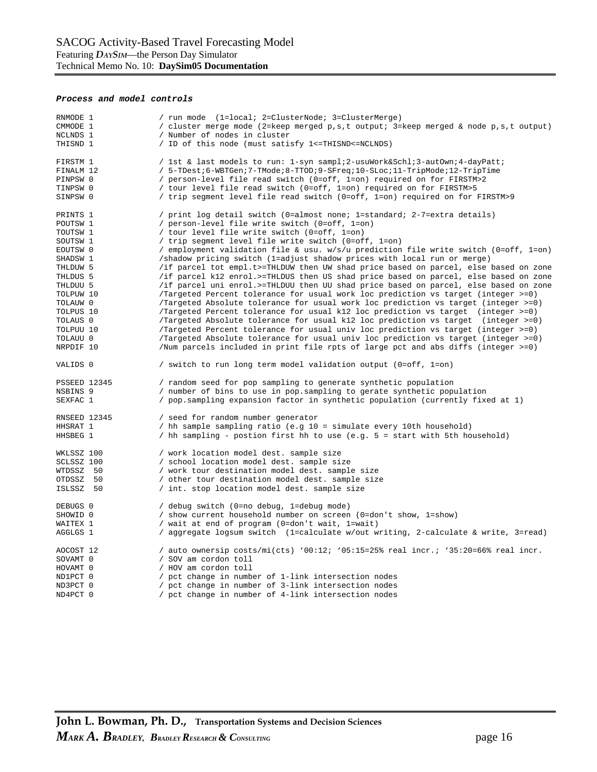#### *Process and model controls*

| RNMODE 1<br>CMMODE 1<br>NCLNDS 1<br>THISND 1                                                                                                                                                     | / run mode (1=local; 2=ClusterNode; 3=ClusterMerge)<br>/ cluster merge mode (2=keep merged p,s,t output; 3=keep merged & node p,s,t output)<br>/ Number of nodes in cluster<br>/ ID of this node (must satisfy 1<=THISND<=NCLNDS)                                                                                                                                                                                                                                                                                                                                                                                                                                                                                                                                                                                                                                                                                                                                                                                                                                                                                                                                                                                                                                                                   |
|--------------------------------------------------------------------------------------------------------------------------------------------------------------------------------------------------|-----------------------------------------------------------------------------------------------------------------------------------------------------------------------------------------------------------------------------------------------------------------------------------------------------------------------------------------------------------------------------------------------------------------------------------------------------------------------------------------------------------------------------------------------------------------------------------------------------------------------------------------------------------------------------------------------------------------------------------------------------------------------------------------------------------------------------------------------------------------------------------------------------------------------------------------------------------------------------------------------------------------------------------------------------------------------------------------------------------------------------------------------------------------------------------------------------------------------------------------------------------------------------------------------------|
| FIRSTM 1<br>FINALM 12<br>PINPSW 0<br>TINPSW 0<br>SINPSW 0                                                                                                                                        | / 1st & last models to run: 1-syn sampl; 2-usuWork&Schl 3-autOwn; 4-dayPatt;<br>/ 5-TDest;6-WBTGen;7-TMode;8-TTOD;9-SFreq;10-SLoc;11-TripMode;12-TripTime<br>/ person-level file read switch (0=off, 1=on) required on for FIRSTM>2<br>/ tour level file read switch (0=off, 1=on) required on for FIRSTM>5<br>/ trip segment level file read switch (0=off, 1=on) required on for FIRSTM>9                                                                                                                                                                                                                                                                                                                                                                                                                                                                                                                                                                                                                                                                                                                                                                                                                                                                                                         |
| PRINTS 1<br>POUTSW 1<br>TOUTSW 1<br>SOUTSW 1<br>EOUTSW 0<br>SHADSW 1<br>THLDUW 5<br>THLDUS 5<br>THLDUU 5<br>TOLPUW 10<br>TOLAUW 0<br>TOLPUS 10<br>TOLAUS 0<br>TOLPUU 10<br>TOLAUU 0<br>NRPDIF 10 | / print log detail switch (0=almost none; 1=standard; 2-7=extra details)<br>/ person-level file write switch (0=off, 1=on)<br>/ tour level file write switch (0=off, 1=on)<br>/ trip segment level file write switch (0=off, 1=on)<br>/ employment validation file & usu. $w/s/u$ prediction file write switch (0=off, 1=on)<br>/shadow pricing switch (1=adjust shadow prices with local run or merge)<br>/if parcel tot empl.t>=THLDUW then UW shad price based on parcel, else based on zone<br>/if parcel k12 enrol.>=THLDUS then US shad price based on parcel, else based on zone<br>/if parcel uni enrol.>=THLDUU then UU shad price based on parcel, else based on zone<br>/Targeted Percent tolerance for usual work loc prediction vs target (integer >=0)<br>/Targeted Absolute tolerance for usual work loc prediction vs target (integer >=0)<br>/Targeted Percent tolerance for usual k12 loc prediction vs target (integer >=0)<br>/Targeted Absolute tolerance for usual k12 loc prediction vs target (integer >=0)<br>/Targeted Percent tolerance for usual univ loc prediction vs target (integer >=0)<br>/Targeted Absolute tolerance for usual univ loc prediction vs target (integer >=0)<br>/Num parcels included in print file rpts of large pct and abs diffs (integer >=0) |
| VALIDS 0                                                                                                                                                                                         | / switch to run long term model validation output (0=off, 1=on)                                                                                                                                                                                                                                                                                                                                                                                                                                                                                                                                                                                                                                                                                                                                                                                                                                                                                                                                                                                                                                                                                                                                                                                                                                     |
| PSSEED 12345<br>NSBINS 9<br>SEXFAC 1                                                                                                                                                             | / random seed for pop sampling to generate synthetic population<br>/ number of bins to use in pop.sampling to gerate synthetic population<br>/ pop.sampling expansion factor in synthetic population (currently fixed at 1)                                                                                                                                                                                                                                                                                                                                                                                                                                                                                                                                                                                                                                                                                                                                                                                                                                                                                                                                                                                                                                                                         |
| RNSEED 12345<br>HHSRAT 1<br>HHSBEG 1                                                                                                                                                             | / seed for random number generator<br>/ hh sample sampling ratio (e.g 10 = simulate every 10th household)<br>/ hh sampling - postion first hh to use (e.g. 5 = start with 5th household)                                                                                                                                                                                                                                                                                                                                                                                                                                                                                                                                                                                                                                                                                                                                                                                                                                                                                                                                                                                                                                                                                                            |
| WKLSSZ 100<br>SCLSSZ 100<br>WTDSSZ 50<br>OTDSSZ 50<br>ISLSSZ 50                                                                                                                                  | / work location model dest. sample size<br>/ school location model dest. sample size<br>/ work tour destination model dest. sample size<br>/ other tour destination model dest. sample size<br>/ int. stop location model dest. sample size                                                                                                                                                                                                                                                                                                                                                                                                                                                                                                                                                                                                                                                                                                                                                                                                                                                                                                                                                                                                                                                         |
| DEBUGS 0<br>SHOWID 0<br>WAITEX 1<br>AGGLGS 1                                                                                                                                                     | / debug switch (0=no debug, 1=debug mode)<br>/ show current household number on screen (0=don't show, 1=show)<br>/ wait at end of program (0=don't wait, 1=wait)<br>/ aggregate logsum switch (1=calculate w/out writing, 2-calculate & write, 3=read)                                                                                                                                                                                                                                                                                                                                                                                                                                                                                                                                                                                                                                                                                                                                                                                                                                                                                                                                                                                                                                              |
| AOCOST 12<br>SOVAMT 0<br>HOVAMT 0<br>ND1PCT 0<br>ND3PCT 0<br>ND4PCT 0                                                                                                                            | / auto ownersip costs/mi(cts) '00:12; '05:15=25% real incr.; '35:20=66% real incr.<br>/ SOV am cordon toll<br>/ HOV am cordon toll<br>pct change in number of 1-link intersection nodes<br>pct change in number of 3-link intersection nodes<br>pct change in number of 4-link intersection nodes                                                                                                                                                                                                                                                                                                                                                                                                                                                                                                                                                                                                                                                                                                                                                                                                                                                                                                                                                                                                   |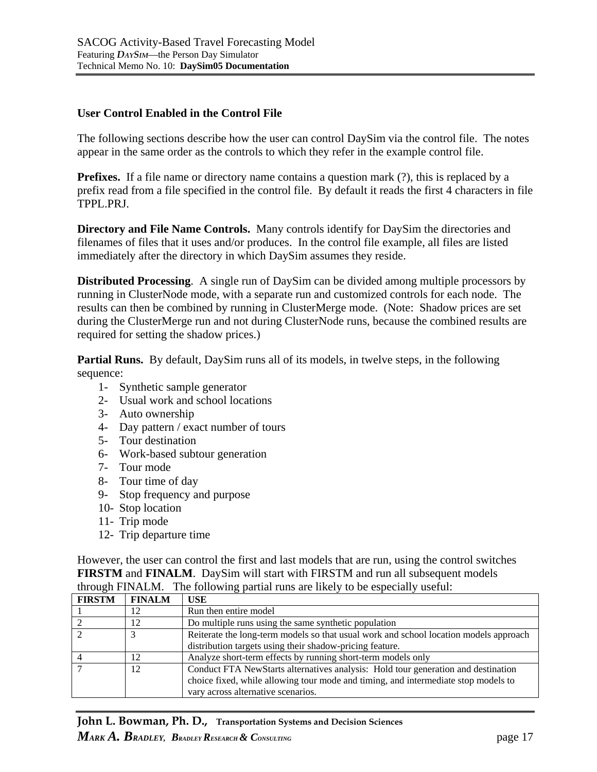#### **User Control Enabled in the Control File**

The following sections describe how the user can control DaySim via the control file. The notes appear in the same order as the controls to which they refer in the example control file.

**Prefixes.** If a file name or directory name contains a question mark (?), this is replaced by a prefix read from a file specified in the control file. By default it reads the first 4 characters in file TPPL.PRJ.

**Directory and File Name Controls.** Many controls identify for DaySim the directories and filenames of files that it uses and/or produces. In the control file example, all files are listed immediately after the directory in which DaySim assumes they reside.

**Distributed Processing**. A single run of DaySim can be divided among multiple processors by running in ClusterNode mode, with a separate run and customized controls for each node. The results can then be combined by running in ClusterMerge mode. (Note: Shadow prices are set during the ClusterMerge run and not during ClusterNode runs, because the combined results are required for setting the shadow prices.)

**Partial Runs.** By default, DaySim runs all of its models, in twelve steps, in the following sequence:

- 1- Synthetic sample generator
- 2- Usual work and school locations
- 3- Auto ownership
- 4- Day pattern / exact number of tours
- 5- Tour destination
- 6- Work-based subtour generation
- 7- Tour mode
- 8- Tour time of day
- 9- Stop frequency and purpose
- 10- Stop location
- 11- Trip mode
- 12- Trip departure time

However, the user can control the first and last models that are run, using the control switches **FIRSTM** and **FINALM**. DaySim will start with FIRSTM and run all subsequent models through FINALM. The following partial runs are likely to be especially useful:

| <b>FIRSTM</b> | <b>FINALM</b> | USE                                                                                                                                                                     |
|---------------|---------------|-------------------------------------------------------------------------------------------------------------------------------------------------------------------------|
|               | 12            | Run then entire model                                                                                                                                                   |
|               | 12            | Do multiple runs using the same synthetic population                                                                                                                    |
|               |               | Reiterate the long-term models so that usual work and school location models approach                                                                                   |
|               |               | distribution targets using their shadow-pricing feature.                                                                                                                |
|               | 12            | Analyze short-term effects by running short-term models only                                                                                                            |
|               | 12            | Conduct FTA NewStarts alternatives analysis: Hold tour generation and destination<br>choice fixed, while allowing tour mode and timing, and intermediate stop models to |
|               |               | vary across alternative scenarios.                                                                                                                                      |

**John L. Bowman, Ph. D., Transportation Systems and Decision Sciences** *MARK* **A.** BRADLEY, BRADLEY RESEARCH & CONSULTING **page 17**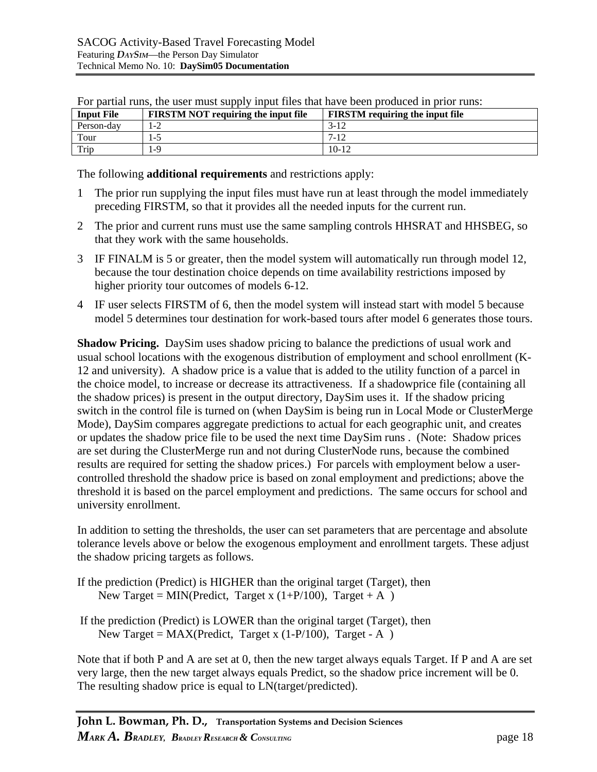| <b>Input File</b> | <b>FIRSTM NOT requiring the input file</b> | <b>FIRSTM</b> requiring the input file |
|-------------------|--------------------------------------------|----------------------------------------|
| Person-day        | $1-2$                                      | $3-12$                                 |
| Tour              | 1-5                                        | 7-12                                   |
| Trip              | 1-9                                        | $10 - 12$                              |

For partial runs, the user must supply input files that have been produced in prior runs:

The following **additional requirements** and restrictions apply:

- 1 The prior run supplying the input files must have run at least through the model immediately preceding FIRSTM, so that it provides all the needed inputs for the current run.
- 2 The prior and current runs must use the same sampling controls HHSRAT and HHSBEG, so that they work with the same households.
- 3 IF FINALM is 5 or greater, then the model system will automatically run through model 12, because the tour destination choice depends on time availability restrictions imposed by higher priority tour outcomes of models 6-12.
- 4 IF user selects FIRSTM of 6, then the model system will instead start with model 5 because model 5 determines tour destination for work-based tours after model 6 generates those tours.

**Shadow Pricing.** DaySim uses shadow pricing to balance the predictions of usual work and usual school locations with the exogenous distribution of employment and school enrollment (K-12 and university). A shadow price is a value that is added to the utility function of a parcel in the choice model, to increase or decrease its attractiveness. If a shadowprice file (containing all the shadow prices) is present in the output directory, DaySim uses it. If the shadow pricing switch in the control file is turned on (when DaySim is being run in Local Mode or ClusterMerge Mode), DaySim compares aggregate predictions to actual for each geographic unit, and creates or updates the shadow price file to be used the next time DaySim runs . (Note: Shadow prices are set during the ClusterMerge run and not during ClusterNode runs, because the combined results are required for setting the shadow prices.) For parcels with employment below a usercontrolled threshold the shadow price is based on zonal employment and predictions; above the threshold it is based on the parcel employment and predictions. The same occurs for school and university enrollment.

In addition to setting the thresholds, the user can set parameters that are percentage and absolute tolerance levels above or below the exogenous employment and enrollment targets. These adjust the shadow pricing targets as follows.

- If the prediction (Predict) is HIGHER than the original target (Target), then New Target = MIN(Predict, Target x  $(1+P/100)$ , Target + A )
- If the prediction (Predict) is LOWER than the original target (Target), then New Target =  $MAX(Predict, Target x (1-P/100), Target - A)$

Note that if both P and A are set at 0, then the new target always equals Target. If P and A are set very large, then the new target always equals Predict, so the shadow price increment will be 0. The resulting shadow price is equal to LN(target/predicted).